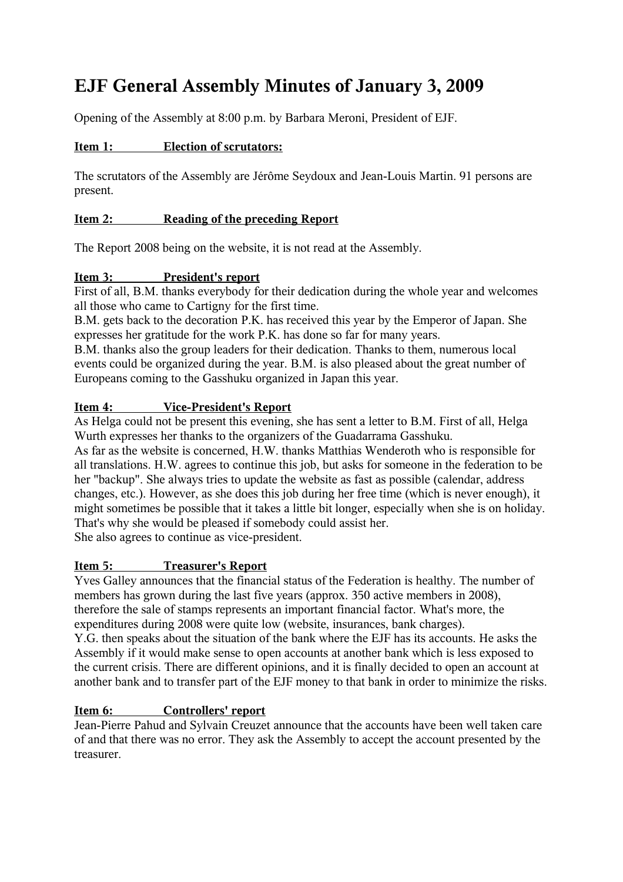# **EJF General Assembly Minutes of January 3, 2009**

Opening of the Assembly at 8:00 p.m. by Barbara Meroni, President of EJF.

# **Item 1: Election of scrutators:**

The scrutators of the Assembly are Jérôme Seydoux and Jean-Louis Martin. 91 persons are present.

# **Item 2: Reading of the preceding Report**

The Report 2008 being on the website, it is not read at the Assembly.

### **Item 3: President's report**

First of all, B.M. thanks everybody for their dedication during the whole year and welcomes all those who came to Cartigny for the first time.

B.M. gets back to the decoration P.K. has received this year by the Emperor of Japan. She expresses her gratitude for the work P.K. has done so far for many years.

B.M. thanks also the group leaders for their dedication. Thanks to them, numerous local events could be organized during the year. B.M. is also pleased about the great number of Europeans coming to the Gasshuku organized in Japan this year.

# **Item 4: Vice-President's Report**

As Helga could not be present this evening, she has sent a letter to B.M. First of all, Helga Wurth expresses her thanks to the organizers of the Guadarrama Gasshuku.

As far as the website is concerned, H.W. thanks Matthias Wenderoth who is responsible for all translations. H.W. agrees to continue this job, but asks for someone in the federation to be her "backup". She always tries to update the website as fast as possible (calendar, address changes, etc.). However, as she does this job during her free time (which is never enough), it might sometimes be possible that it takes a little bit longer, especially when she is on holiday. That's why she would be pleased if somebody could assist her. She also agrees to continue as vice-president.

 **Item 5: Treasurer's Report**

Yves Galley announces that the financial status of the Federation is healthy. The number of members has grown during the last five years (approx. 350 active members in 2008), therefore the sale of stamps represents an important financial factor. What's more, the expenditures during 2008 were quite low (website, insurances, bank charges).

Y.G. then speaks about the situation of the bank where the EJF has its accounts. He asks the Assembly if it would make sense to open accounts at another bank which is less exposed to the current crisis. There are different opinions, and it is finally decided to open an account at another bank and to transfer part of the EJF money to that bank in order to minimize the risks.

# **Item 6: Controllers' report**

Jean-Pierre Pahud and Sylvain Creuzet announce that the accounts have been well taken care of and that there was no error. They ask the Assembly to accept the account presented by the treasurer.